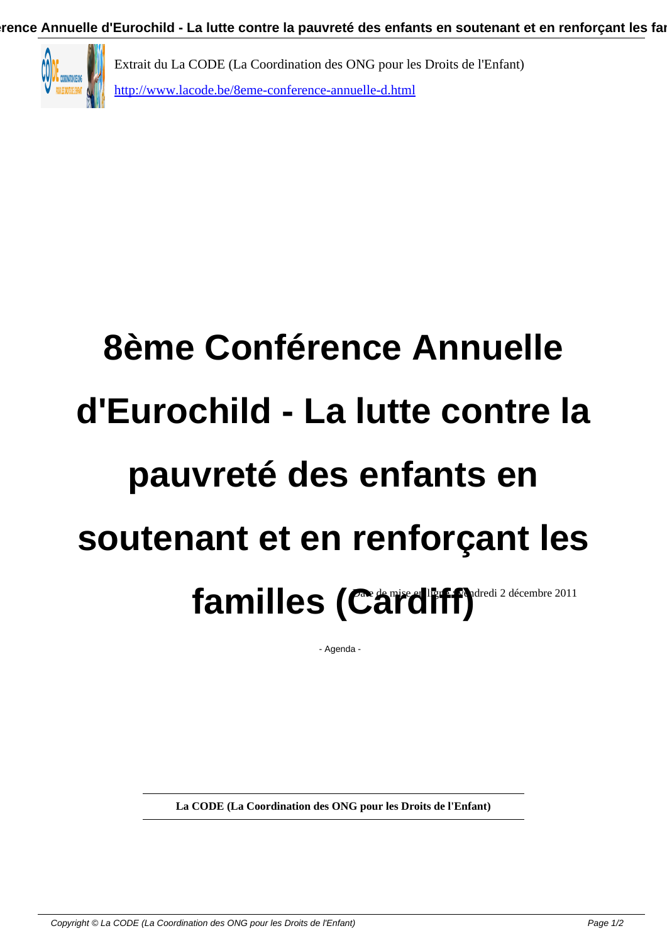

## **8ème Conférence Annuelle d'Eurochild - La lutte contre la pauvreté des enfants en soutenant et en renforçant les** familles (Cardiff)<sup>dredi 2 décembre 2011</sup>

- Agenda -

**La CODE (La Coordination des ONG pour les Droits de l'Enfant)**